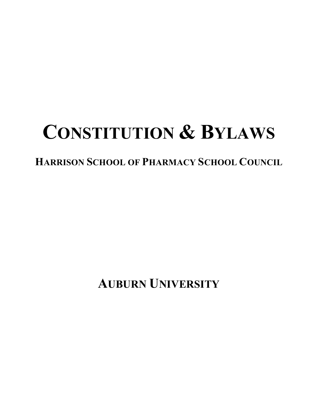# **CONSTITUTION & BYLAWS**

# **HARRISON SCHOOL OF PHARMACY SCHOOL COUNCIL**

**AUBURN UNIVERSITY**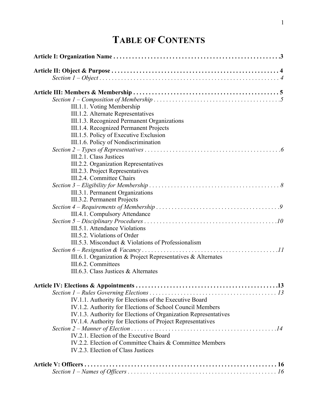# **TABLE OF CONTENTS**

| III.1.1. Voting Membership                                                          |  |
|-------------------------------------------------------------------------------------|--|
| III.1.2. Alternate Representatives                                                  |  |
| III.1.3. Recognized Permanent Organizations                                         |  |
| III.1.4. Recognized Permanent Projects                                              |  |
| III.1.5. Policy of Executive Exclusion                                              |  |
| III.1.6. Policy of Nondiscrimination                                                |  |
|                                                                                     |  |
| III.2.1. Class Justices                                                             |  |
| III.2.2. Organization Representatives                                               |  |
| III.2.3. Project Representatives                                                    |  |
| III.2.4. Committee Chairs                                                           |  |
|                                                                                     |  |
| III.3.1. Permanent Organizations                                                    |  |
| III.3.2. Permanent Projects                                                         |  |
|                                                                                     |  |
| III.4.1. Compulsory Attendance                                                      |  |
|                                                                                     |  |
| III.5.1. Attendance Violations                                                      |  |
| III.5.2. Violations of Order                                                        |  |
| III.5.3. Misconduct & Violations of Professionalism                                 |  |
|                                                                                     |  |
| III.6.1. Organization & Project Representatives & Alternates<br>III.6.2. Committees |  |
| III.6.3. Class Justices & Alternates                                                |  |
|                                                                                     |  |
|                                                                                     |  |
|                                                                                     |  |
| IV.1.1. Authority for Elections of the Executive Board                              |  |
| IV.1.2. Authority for Elections of School Council Members                           |  |
| IV.1.3. Authority for Elections of Organization Representatives                     |  |
| IV.1.4. Authority for Elections of Project Representatives                          |  |
|                                                                                     |  |
| IV.2.1. Election of the Executive Board                                             |  |
| IV.2.2. Election of Committee Chairs & Committee Members                            |  |
| IV.2.3. Election of Class Justices                                                  |  |
|                                                                                     |  |
|                                                                                     |  |
|                                                                                     |  |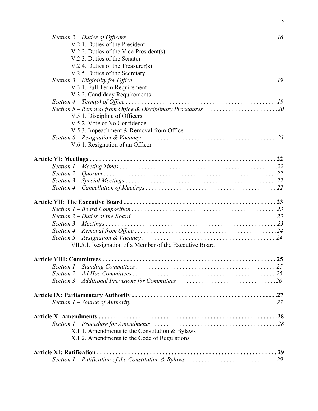| V.2.1. Duties of the President                          |
|---------------------------------------------------------|
| V.2.2. Duties of the Vice-President(s)                  |
| V.2.3. Duties of the Senator                            |
| V.2.4. Duties of the Treasurer(s)                       |
| V.2.5. Duties of the Secretary                          |
|                                                         |
| V.3.1. Full Term Requirement                            |
| V.3.2. Candidacy Requirements                           |
|                                                         |
|                                                         |
| V.5.1. Discipline of Officers                           |
| V.5.2. Vote of No Confidence                            |
| V.5.3. Impeachment & Removal from Office                |
|                                                         |
| V.6.1. Resignation of an Officer                        |
|                                                         |
|                                                         |
|                                                         |
|                                                         |
|                                                         |
|                                                         |
|                                                         |
|                                                         |
|                                                         |
|                                                         |
|                                                         |
| VII.5.1. Resignation of a Member of the Executive Board |
|                                                         |
|                                                         |
|                                                         |
|                                                         |
|                                                         |
|                                                         |
|                                                         |
|                                                         |
| X.1.1. Amendments to the Constitution & Bylaws          |
| X.1.2. Amendments to the Code of Regulations            |
|                                                         |
|                                                         |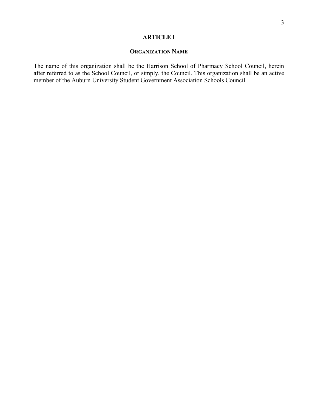# **ARTICLE I**

# **ORGANIZATION NAME**

The name of this organization shall be the Harrison School of Pharmacy School Council, herein after referred to as the School Council, or simply, the Council. This organization shall be an active member of the Auburn University Student Government Association Schools Council.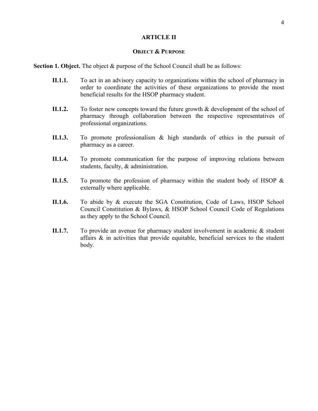#### **ARTICLE II**

# **OBJECT & PURPOSE**

**Section 1. Object.** The object & purpose of the School Council shall be as follows:

- **II.1.1.** To act in an advisory capacity to organizations within the school of pharmacy in order to coordinate the activities of these organizations to provide the most beneficial results for the HSOP pharmacy student.
- **II.1.2.** To foster new concepts toward the future growth & development of the school of pharmacy through collaboration between the respective representatives of professional organizations.
- **II.1.3.** To promote professionalism & high standards of ethics in the pursuit of pharmacy as a career.
- **II.1.4.** To promote communication for the purpose of improving relations between students, faculty, & administration.
- **II.1.5.** To promote the profession of pharmacy within the student body of HSOP & externally where applicable.
- **II.1.6.** To abide by & execute the SGA Constitution, Code of Laws, HSOP School Council Constitution & Bylaws, & HSOP School Council Code of Regulations as they apply to the School Council.
- **II.1.7.** To provide an avenue for pharmacy student involvement in academic & student affairs  $\&$  in activities that provide equitable, beneficial services to the student body.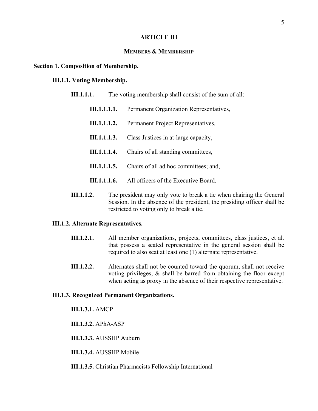# **ARTICLE III**

# **MEMBERS & MEMBERSHIP**

#### **Section 1. Composition of Membership.**

#### **III.1.1. Voting Membership.**

| III.1.1.1. |                     | The voting membership shall consist of the sum of all: |
|------------|---------------------|--------------------------------------------------------|
|            | III.1.1.1.1.        | Permanent Organization Representatives,                |
|            | <b>III.1.1.1.2.</b> | Permanent Project Representatives,                     |
|            | III.1.1.1.3.        | Class Justices in at-large capacity,                   |
|            | <b>III.1.1.1.4.</b> | Chairs of all standing committees,                     |
|            | III.1.1.1.5.        | Chairs of all ad hoc committees; and,                  |
|            | <b>III.1.1.1.6.</b> | All officers of the Executive Board.                   |
|            |                     |                                                        |

**III.1.1.2.** The president may only vote to break a tie when chairing the General Session. In the absence of the president, the presiding officer shall be restricted to voting only to break a tie.

#### **III.1.2. Alternate Representatives.**

- **III.1.2.1.** All member organizations, projects, committees, class justices, et al. that possess a seated representative in the general session shall be required to also seat at least one (1) alternate representative.
- **III.1.2.2.** Alternates shall not be counted toward the quorum, shall not receive voting privileges, & shall be barred from obtaining the floor except when acting as proxy in the absence of their respective representative.

#### **III.1.3. Recognized Permanent Organizations.**

**III.1.3.1.** AMCP

**III.1.3.2.** APhA-ASP

**III.1.3.3.** AUSSHP Auburn

**III.1.3.4.** AUSSHP Mobile

**III.1.3.5.** Christian Pharmacists Fellowship International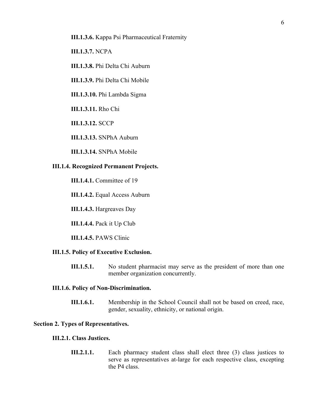- **III.1.3.6.** Kappa Psi Pharmaceutical Fraternity
- **III.1.3.7.** NCPA
- **III.1.3.8.** Phi Delta Chi Auburn
- **III.1.3.9.** Phi Delta Chi Mobile
- **III.1.3.10.** Phi Lambda Sigma
- **III.1.3.11.** Rho Chi
- **III.1.3.12.** SCCP
- **III.1.3.13.** SNPhA Auburn
- **III.1.3.14.** SNPhA Mobile

#### **III.1.4. Recognized Permanent Projects.**

- **III.1.4.1.** Committee of 19
- **III.1.4.2.** Equal Access Auburn
- **III.1.4.3.** Hargreaves Day
- **III.1.4.4.** Pack it Up Club
- **III.1.4.5.** PAWS Clinic

#### **III.1.5. Policy of Executive Exclusion.**

**III.1.5.1.** No student pharmacist may serve as the president of more than one member organization concurrently.

#### **III.1.6. Policy of Non-Discrimination.**

**III.1.6.1.** Membership in the School Council shall not be based on creed, race, gender, sexuality, ethnicity, or national origin.

#### **Section 2. Types of Representatives.**

#### **III.2.1. Class Justices.**

**III.2.1.1.** Each pharmacy student class shall elect three (3) class justices to serve as representatives at-large for each respective class, excepting the P4 class.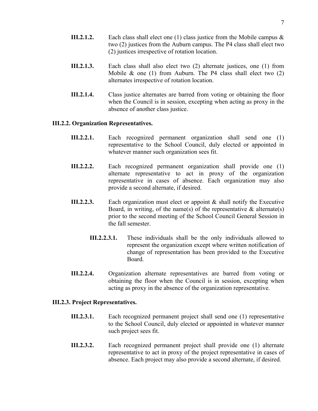- **III.2.1.2.** Each class shall elect one (1) class justice from the Mobile campus & two (2) justices from the Auburn campus. The P4 class shall elect two (2) justices irrespective of rotation location.
- **III.2.1.3.** Each class shall also elect two (2) alternate justices, one (1) from Mobile  $\&$  one (1) from Auburn. The P4 class shall elect two (2) alternates irrespective of rotation location.
- **III.2.1.4.** Class justice alternates are barred from voting or obtaining the floor when the Council is in session, excepting when acting as proxy in the absence of another class justice.

# **III.2.2. Organization Representatives.**

- **III.2.2.1.** Each recognized permanent organization shall send one (1) representative to the School Council, duly elected or appointed in whatever manner such organization sees fit.
- **III.2.2.2.** Each recognized permanent organization shall provide one (1) alternate representative to act in proxy of the organization representative in cases of absence. Each organization may also provide a second alternate, if desired.
- **III.2.2.3.** Each organization must elect or appoint & shall notify the Executive Board, in writing, of the name(s) of the representative  $\&$  alternate(s) prior to the second meeting of the School Council General Session in the fall semester.
	- **III.2.2.3.1.** These individuals shall be the only individuals allowed to represent the organization except where written notification of change of representation has been provided to the Executive Board.
- **III.2.2.4.** Organization alternate representatives are barred from voting or obtaining the floor when the Council is in session, excepting when acting as proxy in the absence of the organization representative.

# **III.2.3. Project Representatives.**

- **III.2.3.1.** Each recognized permanent project shall send one (1) representative to the School Council, duly elected or appointed in whatever manner such project sees fit.
- **III.2.3.2.** Each recognized permanent project shall provide one (1) alternate representative to act in proxy of the project representative in cases of absence. Each project may also provide a second alternate, if desired.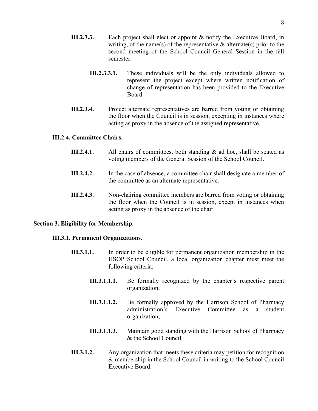- **III.2.3.3.** Each project shall elect or appoint & notify the Executive Board, in writing, of the name(s) of the representative  $\&$  alternate(s) prior to the second meeting of the School Council General Session in the fall semester.
	- **III.2.3.3.1.** These individuals will be the only individuals allowed to represent the project except where written notification of change of representation has been provided to the Executive Board.
- **III.2.3.4.** Project alternate representatives are barred from voting or obtaining the floor when the Council is in session, excepting in instances where acting as proxy in the absence of the assigned representative.

# **III.2.4. Committee Chairs.**

- **III.2.4.1.** All chairs of committees, both standing & ad hoc, shall be seated as voting members of the General Session of the School Council.
- **III.2.4.2.** In the case of absence, a committee chair shall designate a member of the committee as an alternate representative.
- **III.2.4.3.** Non-chairing committee members are barred from voting or obtaining the floor when the Council is in session, except in instances when acting as proxy in the absence of the chair.

#### **Section 3. Eligibility for Membership.**

#### **III.3.1. Permanent Organizations.**

- **III.3.1.1.** In order to be eligible for permanent organization membership in the HSOP School Council, a local organization chapter must meet the following criteria:
	- **III.3.1.1.1.** Be formally recognized by the chapter's respective parent organization;
	- **III.3.1.1.2.** Be formally approved by the Harrison School of Pharmacy administration's Executive Committee as a student organization;
	- **III.3.1.1.3.** Maintain good standing with the Harrison School of Pharmacy & the School Council.
- **III.3.1.2.** Any organization that meets these criteria may petition for recognition & membership in the School Council in writing to the School Council Executive Board.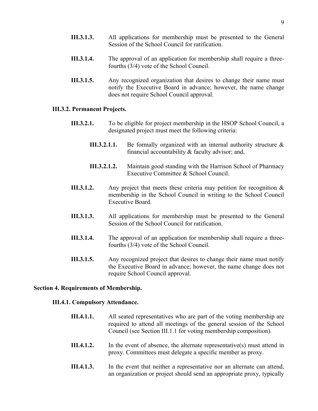- **III.3.1.3.** All applications for membership must be presented to the General Session of the School Council for ratification.
- **III.3.1.4.** The approval of an application for membership shall require a threefourths (3/4) vote of the School Council.
- **III.3.1.5.** Any recognized organization that desires to change their name must notify the Executive Board in advance; however, the name change does not require School Council approval.

#### **III.3.2. Permanent Projects.**

- **III.3.2.1.** To be eligible for project membership in the HSOP School Council, a designated project must meet the following criteria:
	- **III.3.2.1.1.** Be formally organized with an internal authority structure & financial accountability  $&$  faculty advisor; and,
	- **III.3.2.1.2.** Maintain good standing with the Harrison School of Pharmacy Executive Committee & School Council.
- **III.3.1.2.** Any project that meets these criteria may petition for recognition & membership in the School Council in writing to the School Council Executive Board.
- **III.3.1.3.** All applications for membership must be presented to the General Session of the School Council for ratification.
- **III.3.1.4.** The approval of an application for membership shall require a threefourths (3/4) vote of the School Council.
- **III.3.1.5.** Any recognized project that desires to change their name must notify the Executive Board in advance; however, the name change does not require School Council approval.

# **Section 4. Requirements of Membership.**

### **III.4.1. Compulsory Attendance.**

- **III.4.1.1.** All seated representatives who are part of the voting membership are required to attend all meetings of the general session of the School Council (see Section III.1.1 for voting membership composition).
- **III.4.1.2.** In the event of absence, the alternate representative(s) must attend in proxy. Committees must delegate a specific member as proxy.
- **III.4.1.3.** In the event that neither a representative nor an alternate can attend, an organization or project should send an appropriate proxy, typically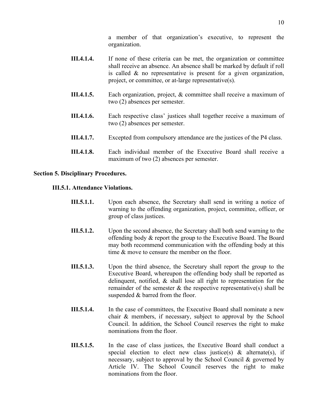a member of that organization's executive, to represent the organization.

- **III.4.1.4.** If none of these criteria can be met, the organization or committee shall receive an absence. An absence shall be marked by default if roll is called & no representative is present for a given organization, project, or committee, or at-large representative(s).
- **III.4.1.5.** Each organization, project, & committee shall receive a maximum of two (2) absences per semester.
- **III.4.1.6.** Each respective class' justices shall together receive a maximum of two (2) absences per semester.
- **III.4.1.7.** Excepted from compulsory attendance are the justices of the P4 class.
- **III.4.1.8.** Each individual member of the Executive Board shall receive a maximum of two (2) absences per semester.

# **Section 5. Disciplinary Procedures.**

#### **III.5.1. Attendance Violations.**

- **III.5.1.1.** Upon each absence, the Secretary shall send in writing a notice of warning to the offending organization, project, committee, officer, or group of class justices.
- **III.5.1.2.** Upon the second absence, the Secretary shall both send warning to the offending body & report the group to the Executive Board. The Board may both recommend communication with the offending body at this time  $\&$  move to censure the member on the floor.
- **III.5.1.3.** Upon the third absence, the Secretary shall report the group to the Executive Board, whereupon the offending body shall be reported as delinquent, notified, & shall lose all right to representation for the remainder of the semester  $\&$  the respective representative(s) shall be suspended  $&$  barred from the floor.
- **III.5.1.4.** In the case of committees, the Executive Board shall nominate a new chair & members, if necessary, subject to approval by the School Council. In addition, the School Council reserves the right to make nominations from the floor.
- **III.5.1.5.** In the case of class justices, the Executive Board shall conduct a special election to elect new class justice(s)  $\&$  alternate(s), if necessary, subject to approval by the School Council & governed by Article IV. The School Council reserves the right to make nominations from the floor.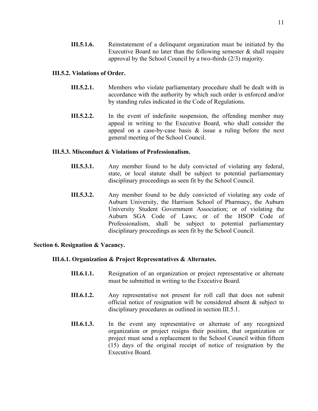**III.5.1.6.** Reinstatement of a delinquent organization must be initiated by the Executive Board no later than the following semester  $\&$  shall require approval by the School Council by a two-thirds (2/3) majority.

# **III.5.2. Violations of Order.**

- **III.5.2.1.** Members who violate parliamentary procedure shall be dealt with in accordance with the authority by which such order is enforced and/or by standing rules indicated in the Code of Regulations.
- **III.5.2.2.** In the event of indefinite suspension, the offending member may appeal in writing to the Executive Board, who shall consider the appeal on a case-by-case basis & issue a ruling before the next general meeting of the School Council.

# **III.5.3. Misconduct & Violations of Professionalism.**

- **III.5.3.1.** Any member found to be duly convicted of violating any federal, state, or local statute shall be subject to potential parliamentary disciplinary proceedings as seen fit by the School Council.
- **III.5.3.2.** Any member found to be duly convicted of violating any code of Auburn University, the Harrison School of Pharmacy, the Auburn University Student Government Association; or of violating the Auburn SGA Code of Laws; or of the HSOP Code of Professionalism, shall be subject to potential parliamentary disciplinary proceedings as seen fit by the School Council.

# **Section 6. Resignation & Vacancy.**

# **III.6.1. Organization & Project Representatives & Alternates.**

- **III.6.1.1.** Resignation of an organization or project representative or alternate must be submitted in writing to the Executive Board.
- **III.6.1.2.** Any representative not present for roll call that does not submit official notice of resignation will be considered absent & subject to disciplinary procedures as outlined in section III.5.1.
- **III.6.1.3.** In the event any representative or alternate of any recognized organization or project resigns their position, that organization or project must send a replacement to the School Council within fifteen (15) days of the original receipt of notice of resignation by the Executive Board.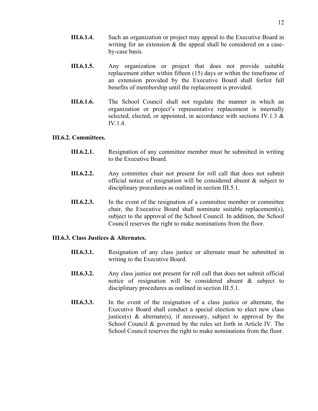- **III.6.1.4.** Such an organization or project may appeal to the Executive Board in writing for an extension & the appeal shall be considered on a caseby-case basis.
- **III.6.1.5.** Any organization or project that does not provide suitable replacement either within fifteen (15) days or within the timeframe of an extension provided by the Executive Board shall forfeit full benefits of membership until the replacement is provided.
- **III.6.1.6.** The School Council shall not regulate the manner in which an organization or project's representative replacement is internally selected, elected, or appointed, in accordance with sections IV.1.3 & IV.1.4.

# **III.6.2. Committees.**

- **III.6.2.1.** Resignation of any committee member must be submitted in writing to the Executive Board.
- **III.6.2.2.** Any committee chair not present for roll call that does not submit official notice of resignation will be considered absent & subject to disciplinary procedures as outlined in section III.5.1.
- **III.6.2.3.** In the event of the resignation of a committee member or committee chair, the Executive Board shall nominate suitable replacement(s), subject to the approval of the School Council. In addition, the School Council reserves the right to make nominations from the floor.

# **III.6.3. Class Justices & Alternates.**

- **III.6.3.1.** Resignation of any class justice or alternate must be submitted in writing to the Executive Board.
- **III.6.3.2.** Any class justice not present for roll call that does not submit official notice of resignation will be considered absent & subject to disciplinary procedures as outlined in section III.5.1.
- **III.6.3.3.** In the event of the resignation of a class justice or alternate, the Executive Board shall conduct a special election to elect new class justice(s)  $\&$  alternate(s), if necessary, subject to approval by the School Council & governed by the rules set forth in Article IV. The School Council reserves the right to make nominations from the floor.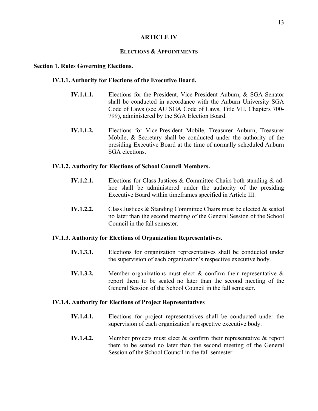# **ARTICLE IV**

# **ELECTIONS & APPOINTMENTS**

#### **Section 1. Rules Governing Elections.**

#### **IV.1.1.Authority for Elections of the Executive Board.**

- **IV.1.1.1.** Elections for the President, Vice-President Auburn, & SGA Senator shall be conducted in accordance with the Auburn University SGA Code of Laws (see AU SGA Code of Laws, Title VII, Chapters 700- 799), administered by the SGA Election Board.
- **IV.1.1.2.** Elections for Vice-President Mobile, Treasurer Auburn, Treasurer Mobile, & Secretary shall be conducted under the authority of the presiding Executive Board at the time of normally scheduled Auburn SGA elections.

#### **IV.1.2. Authority for Elections of School Council Members.**

- **IV.1.2.1.** Elections for Class Justices & Committee Chairs both standing & adhoc shall be administered under the authority of the presiding Executive Board within timeframes specified in Article III.
- **IV.1.2.2.** Class Justices & Standing Committee Chairs must be elected & seated no later than the second meeting of the General Session of the School Council in the fall semester.

#### **IV.1.3. Authority for Elections of Organization Representatives.**

- **IV.1.3.1.** Elections for organization representatives shall be conducted under the supervision of each organization's respective executive body.
- **IV.1.3.2.** Member organizations must elect & confirm their representative & report them to be seated no later than the second meeting of the General Session of the School Council in the fall semester.

### **IV.1.4. Authority for Elections of Project Representatives**

- **IV.1.4.1.** Elections for project representatives shall be conducted under the supervision of each organization's respective executive body.
- **IV.1.4.2.** Member projects must elect & confirm their representative & report them to be seated no later than the second meeting of the General Session of the School Council in the fall semester.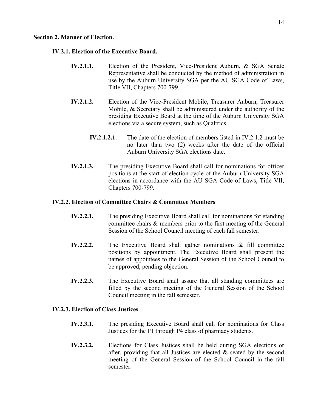#### **Section 2. Manner of Election.**

#### **IV.2.1. Election of the Executive Board.**

- **IV.2.1.1.** Election of the President, Vice-President Auburn, & SGA Senate Representative shall be conducted by the method of administration in use by the Auburn University SGA per the AU SGA Code of Laws, Title VII, Chapters 700-799.
- **IV.2.1.2.** Election of the Vice-President Mobile, Treasurer Auburn, Treasurer Mobile, & Secretary shall be administered under the authority of the presiding Executive Board at the time of the Auburn University SGA elections via a secure system, such as Qualtrics.
	- **IV.2.1.2.1.** The date of the election of members listed in IV.2.1.2 must be no later than two (2) weeks after the date of the official Auburn University SGA elections date.
- **IV.2.1.3.** The presiding Executive Board shall call for nominations for officer positions at the start of election cycle of the Auburn University SGA elections in accordance with the AU SGA Code of Laws, Title VII, Chapters 700-799.

#### **IV.2.2. Election of Committee Chairs & Committee Members**

- **IV.2.2.1.** The presiding Executive Board shall call for nominations for standing committee chairs & members prior to the first meeting of the General Session of the School Council meeting of each fall semester.
- **IV.2.2.2.** The Executive Board shall gather nominations & fill committee positions by appointment. The Executive Board shall present the names of appointees to the General Session of the School Council to be approved, pending objection.
- **IV.2.2.3.** The Executive Board shall assure that all standing committees are filled by the second meeting of the General Session of the School Council meeting in the fall semester.

# **IV.2.3. Election of Class Justices**

- **IV.2.3.1.** The presiding Executive Board shall call for nominations for Class Justices for the P1 through P4 class of pharmacy students.
- **IV.2.3.2.** Elections for Class Justices shall be held during SGA elections or after, providing that all Justices are elected  $\&$  seated by the second meeting of the General Session of the School Council in the fall semester.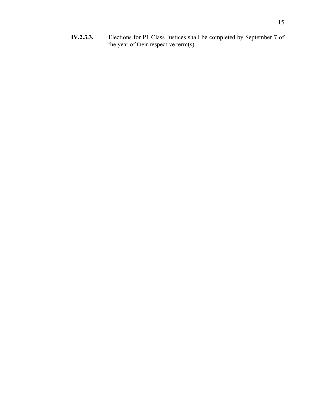**IV.2.3.3.** Elections for P1 Class Justices shall be completed by September 7 of the year of their respective term(s).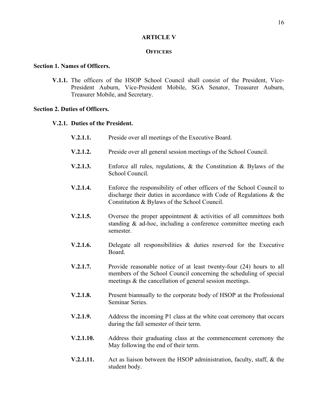#### **ARTICLE V**

# **OFFICERS**

# **Section 1. Names of Officers.**

**V.1.1.** The officers of the HSOP School Council shall consist of the President, Vice-President Auburn, Vice-President Mobile, SGA Senator, Treasurer Auburn, Treasurer Mobile, and Secretary.

#### **Section 2. Duties of Officers.**

# **V.2.1. Duties of the President.**

- **V.2.1.1.** Preside over all meetings of the Executive Board. **V.2.1.2.** Preside over all general session meetings of the School Council. **V.2.1.3.** Enforce all rules, regulations, & the Constitution & Bylaws of the School Council. **V.2.1.4.** Enforce the responsibility of other officers of the School Council to discharge their duties in accordance with Code of Regulations & the Constitution & Bylaws of the School Council. **V.2.1.5.** Oversee the proper appointment & activities of all committees both standing & ad-hoc, including a conference committee meeting each semester. **V.2.1.6.** Delegate all responsibilities & duties reserved for the Executive Board.
- **V.2.1.7.** Provide reasonable notice of at least twenty-four (24) hours to all members of the School Council concerning the scheduling of special meetings & the cancellation of general session meetings.
- **V.2.1.8.** Present biannually to the corporate body of HSOP at the Professional Seminar Series.
- **V.2.1.9.** Address the incoming P1 class at the white coat ceremony that occurs during the fall semester of their term.
- **V.2.1.10.** Address their graduating class at the commencement ceremony the May following the end of their term.
- **V.2.1.11.** Act as liaison between the HSOP administration, faculty, staff, & the student body.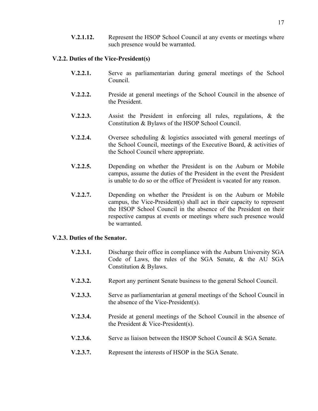**V.2.1.12.** Represent the HSOP School Council at any events or meetings where such presence would be warranted.

# **V.2.2. Duties of the Vice-President(s)**

- **V.2.2.1.** Serve as parliamentarian during general meetings of the School Council.
- **V.2.2.2.** Preside at general meetings of the School Council in the absence of the President.
- **V.2.2.3.** Assist the President in enforcing all rules, regulations, & the Constitution & Bylaws of the HSOP School Council.
- **V.2.2.4.** Oversee scheduling & logistics associated with general meetings of the School Council, meetings of the Executive Board, & activities of the School Council where appropriate.
- **V.2.2.5.** Depending on whether the President is on the Auburn or Mobile campus, assume the duties of the President in the event the President is unable to do so or the office of President is vacated for any reason.
- **V.2.2.7.** Depending on whether the President is on the Auburn or Mobile campus, the Vice-President(s) shall act in their capacity to represent the HSOP School Council in the absence of the President on their respective campus at events or meetings where such presence would be warranted.

# **V.2.3. Duties of the Senator.**

- **V.2.3.1.** Discharge their office in compliance with the Auburn University SGA Code of Laws, the rules of the SGA Senate, & the AU SGA Constitution & Bylaws.
- **V.2.3.2.** Report any pertinent Senate business to the general School Council.
- **V.2.3.3.** Serve as parliamentarian at general meetings of the School Council in the absence of the Vice-President(s).
- **V.2.3.4.** Preside at general meetings of the School Council in the absence of the President & Vice-President(s).
- **V.2.3.6.** Serve as liaison between the HSOP School Council & SGA Senate.
- **V.2.3.7.** Represent the interests of HSOP in the SGA Senate.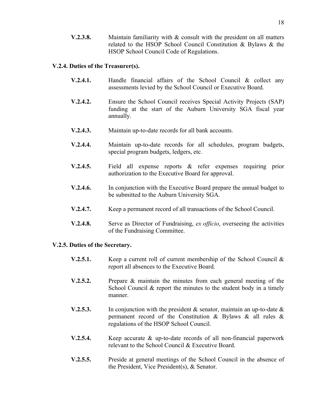**V.2.3.8.** Maintain familiarity with & consult with the president on all matters related to the HSOP School Council Constitution & Bylaws & the HSOP School Council Code of Regulations.

#### **V.2.4. Duties of the Treasurer(s).**

- **V.2.4.1.** Handle financial affairs of the School Council & collect any assessments levied by the School Council or Executive Board.
- **V.2.4.2.** Ensure the School Council receives Special Activity Projects (SAP) funding at the start of the Auburn University SGA fiscal year annually.
- **V.2.4.3.** Maintain up-to-date records for all bank accounts.
- **V.2.4.4.** Maintain up-to-date records for all schedules, program budgets, special program budgets, ledgers, etc.
- **V.2.4.5.** Field all expense reports & refer expenses requiring prior authorization to the Executive Board for approval.
- **V.2.4.6.** In conjunction with the Executive Board prepare the annual budget to be submitted to the Auburn University SGA.
- **V.2.4.7.** Keep a permanent record of all transactions of the School Council.
- **V.2.4.8.** Serve as Director of Fundraising, *ex officio*, overseeing the activities of the Fundraising Committee.

#### **V.2.5. Duties of the Secretary.**

- **V.2.5.1.** Keep a current roll of current membership of the School Council & report all absences to the Executive Board.
- **V.2.5.2.** Prepare & maintain the minutes from each general meeting of the School Council & report the minutes to the student body in a timely manner.
- **V.2.5.3.** In conjunction with the president & senator, maintain an up-to-date & permanent record of the Constitution & Bylaws & all rules & regulations of the HSOP School Council.
- **V.2.5.4.** Keep accurate & up-to-date records of all non-financial paperwork relevant to the School Council & Executive Board.
- **V.2.5.5.** Preside at general meetings of the School Council in the absence of the President, Vice President(s), & Senator.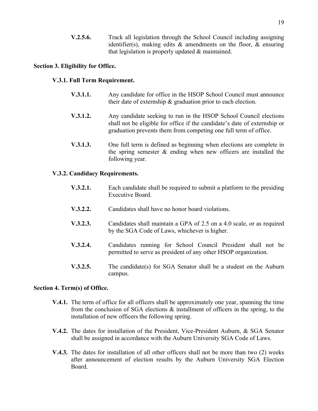**V.2.5.6.** Track all legislation through the School Council including assigning identifier(s), making edits & amendments on the floor, & ensuring that legislation is properly updated & maintained.

# **Section 3. Eligibility for Office.**

# **V.3.1. Full Term Requirement.**

- **V.3.1.1.** Any candidate for office in the HSOP School Council must announce their date of externship & graduation prior to each election.
- **V.3.1.2.** Any candidate seeking to run in the HSOP School Council elections shall not be eligible for office if the candidate's date of externship or graduation prevents them from competing one full term of office.
- **V.3.1.3.** One full term is defined as beginning when elections are complete in the spring semester & ending when new officers are installed the following year.

# **V.3.2. Candidacy Requirements.**

- **V.3.2.1.** Each candidate shall be required to submit a platform to the presiding Executive Board.
- **V.3.2.2.** Candidates shall have no honor board violations.
- **V.3.2.3.** Candidates shall maintain a GPA of 2.5 on a 4.0 scale, or as required by the SGA Code of Laws, whichever is higher.
- **V.3.2.4.** Candidates running for School Council President shall not be permitted to serve as president of any other HSOP organization.
- **V.3.2.5.** The candidate(s) for SGA Senator shall be a student on the Auburn campus.

#### **Section 4. Term(s) of Office.**

- **V.4.1.** The term of office for all officers shall be approximately one year, spanning the time from the conclusion of SGA elections & installment of officers in the spring, to the installation of new officers the following spring.
- **V.4.2.** The dates for installation of the President, Vice-President Auburn, & SGA Senator shall be assigned in accordance with the Auburn University SGA Code of Laws.
- **V.4.3.** The dates for installation of all other officers shall not be more than two (2) weeks after announcement of election results by the Auburn University SGA Election Board.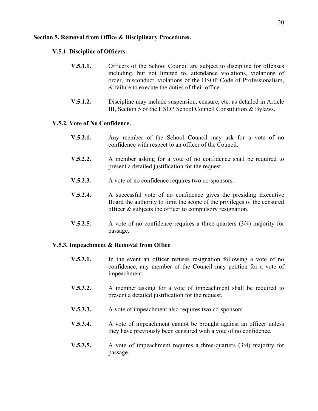# **Section 5. Removal from Office & Disciplinary Procedures.**

# **V.5.1. Discipline of Officers.**

- **V.5.1.1.** Officers of the School Council are subject to discipline for offenses including, but not limited to, attendance violations, violations of order, misconduct, violations of the HSOP Code of Professionalism, & failure to execute the duties of their office.
- **V.5.1.2.** Discipline may include suspension, censure, etc. as detailed in Article III, Section 5 of the HSOP School Council Constitution & Bylaws.

### **V.5.2. Vote of No Confidence.**

- **V.5.2.1.** Any member of the School Council may ask for a vote of no confidence with respect to an officer of the Council.
- **V.5.2.2.** A member asking for a vote of no confidence shall be required to present a detailed justification for the request.
- **V.5.2.3.** A vote of no confidence requires two co-sponsors.
- **V.5.2.4.** A successful vote of no confidence gives the presiding Executive Board the authority to limit the scope of the privileges of the censured officer & subjects the officer to compulsory resignation.
- **V.5.2.5.** A vote of no confidence requires a three-quarters (3/4) majority for passage.

#### **V.5.3. Impeachment & Removal from Office**

- **V.5.3.1.** In the event an officer refuses resignation following a vote of no confidence, any member of the Council may petition for a vote of impeachment.
- **V.5.3.2.** A member asking for a vote of impeachment shall be required to present a detailed justification for the request.
- **V.5.3.3.** A vote of impeachment also requires two co-sponsors.
- **V.5.3.4.** A vote of impeachment cannot be brought against an officer unless they have previously been censured with a vote of no confidence.
- **V.5.3.5.** A vote of impeachment requires a three-quarters (3/4) majority for passage.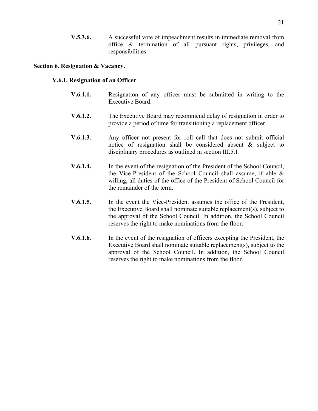**V.5.3.6.** A successful vote of impeachment results in immediate removal from office & termination of all pursuant rights, privileges, and responsibilities.

#### **Section 6. Resignation & Vacancy.**

# **V.6.1. Resignation of an Officer**

- **V.6.1.1.** Resignation of any officer must be submitted in writing to the Executive Board.
- **V.6.1.2.** The Executive Board may recommend delay of resignation in order to provide a period of time for transitioning a replacement officer.
- **V.6.1.3.** Any officer not present for roll call that does not submit official notice of resignation shall be considered absent & subject to disciplinary procedures as outlined in section III.5.1.
- **V.6.1.4.** In the event of the resignation of the President of the School Council, the Vice-President of the School Council shall assume, if able & willing, all duties of the office of the President of School Council for the remainder of the term.
- **V.6.1.5.** In the event the Vice-President assumes the office of the President, the Executive Board shall nominate suitable replacement(s), subject to the approval of the School Council. In addition, the School Council reserves the right to make nominations from the floor.
- **V.6.1.6.** In the event of the resignation of officers excepting the President, the Executive Board shall nominate suitable replacement(s), subject to the approval of the School Council. In addition, the School Council reserves the right to make nominations from the floor.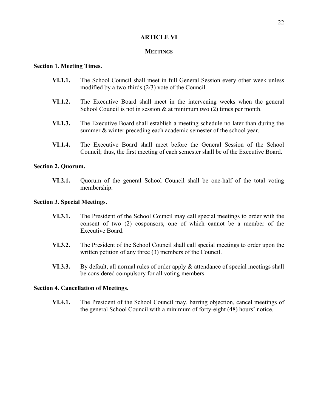# **ARTICLE VI**

# **MEETINGS**

#### **Section 1. Meeting Times.**

- **VI.1.1.** The School Council shall meet in full General Session every other week unless modified by a two-thirds (2/3) vote of the Council.
- **VI.1.2.** The Executive Board shall meet in the intervening weeks when the general School Council is not in session  $\&$  at minimum two (2) times per month.
- **VI.1.3.** The Executive Board shall establish a meeting schedule no later than during the summer & winter preceding each academic semester of the school year.
- **VI.1.4.** The Executive Board shall meet before the General Session of the School Council; thus, the first meeting of each semester shall be of the Executive Board.

#### **Section 2. Quorum.**

**VI.2.1.** Quorum of the general School Council shall be one-half of the total voting membership.

#### **Section 3. Special Meetings.**

- **VI.3.1.** The President of the School Council may call special meetings to order with the consent of two (2) cosponsors, one of which cannot be a member of the Executive Board.
- **VI.3.2.** The President of the School Council shall call special meetings to order upon the written petition of any three (3) members of the Council.
- **VI.3.3.** By default, all normal rules of order apply & attendance of special meetings shall be considered compulsory for all voting members.

#### **Section 4. Cancellation of Meetings.**

**VI.4.1.** The President of the School Council may, barring objection, cancel meetings of the general School Council with a minimum of forty-eight (48) hours' notice.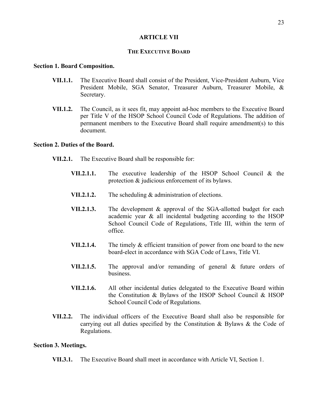# **ARTICLE VII**

# **THE EXECUTIVE BOARD**

#### **Section 1. Board Composition.**

- **VII.1.1.** The Executive Board shall consist of the President, Vice-President Auburn, Vice President Mobile, SGA Senator, Treasurer Auburn, Treasurer Mobile, & Secretary.
- **VII.1.2.** The Council, as it sees fit, may appoint ad-hoc members to the Executive Board per Title V of the HSOP School Council Code of Regulations. The addition of permanent members to the Executive Board shall require amendment(s) to this document.

#### **Section 2. Duties of the Board.**

- **VII.2.1.** The Executive Board shall be responsible for:
	- **VII.2.1.1.** The executive leadership of the HSOP School Council & the protection & judicious enforcement of its bylaws.
	- **VII.2.1.2.** The scheduling & administration of elections.
	- **VII.2.1.3.** The development & approval of the SGA-allotted budget for each academic year & all incidental budgeting according to the HSOP School Council Code of Regulations, Title III, within the term of office.
	- **VII.2.1.4.** The timely & efficient transition of power from one board to the new board-elect in accordance with SGA Code of Laws, Title VI.
	- **VII.2.1.5.** The approval and/or remanding of general & future orders of business.
	- **VII.2.1.6.** All other incidental duties delegated to the Executive Board within the Constitution & Bylaws of the HSOP School Council & HSOP School Council Code of Regulations.
- **VII.2.2.** The individual officers of the Executive Board shall also be responsible for carrying out all duties specified by the Constitution  $\&$  Bylaws  $\&$  the Code of Regulations.

#### **Section 3. Meetings.**

**VII.3.1.** The Executive Board shall meet in accordance with Article VI, Section 1.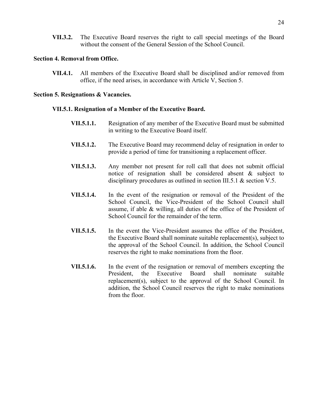**VII.3.2.** The Executive Board reserves the right to call special meetings of the Board without the consent of the General Session of the School Council.

# **Section 4. Removal from Office.**

**VII.4.1.** All members of the Executive Board shall be disciplined and/or removed from office, if the need arises, in accordance with Article V, Section 5.

# **Section 5. Resignations & Vacancies.**

# **VII.5.1. Resignation of a Member of the Executive Board.**

- **VII.5.1.1.** Resignation of any member of the Executive Board must be submitted in writing to the Executive Board itself.
- **VII.5.1.2.** The Executive Board may recommend delay of resignation in order to provide a period of time for transitioning a replacement officer.
- **VII.5.1.3.** Any member not present for roll call that does not submit official notice of resignation shall be considered absent & subject to disciplinary procedures as outlined in section III.5.1 & section V.5.
- **VII.5.1.4.** In the event of the resignation or removal of the President of the School Council, the Vice-President of the School Council shall assume, if able & willing, all duties of the office of the President of School Council for the remainder of the term.
- **VII.5.1.5.** In the event the Vice-President assumes the office of the President, the Executive Board shall nominate suitable replacement(s), subject to the approval of the School Council. In addition, the School Council reserves the right to make nominations from the floor.
- **VII.5.1.6.** In the event of the resignation or removal of members excepting the President, the Executive Board shall nominate suitable replacement(s), subject to the approval of the School Council. In addition, the School Council reserves the right to make nominations from the floor.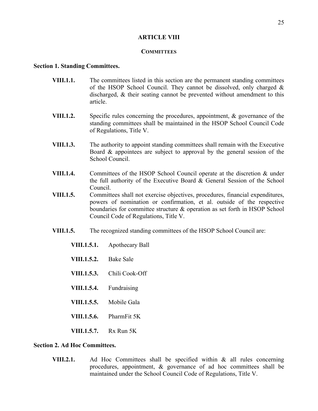# **ARTICLE VIII**

# **COMMITTEES**

#### **Section 1. Standing Committees.**

- **VIII.1.1.** The committees listed in this section are the permanent standing committees of the HSOP School Council. They cannot be dissolved, only charged  $\&$ discharged, & their seating cannot be prevented without amendment to this article.
- **VIII.1.2.** Specific rules concerning the procedures, appointment, & governance of the standing committees shall be maintained in the HSOP School Council Code of Regulations, Title V.
- **VIII.1.3.** The authority to appoint standing committees shall remain with the Executive Board & appointees are subject to approval by the general session of the School Council.
- **VIII.1.4.** Committees of the HSOP School Council operate at the discretion & under the full authority of the Executive Board & General Session of the School Council.
- **VIII.1.5.** Committees shall not exercise objectives, procedures, financial expenditures, powers of nomination or confirmation, et al. outside of the respective boundaries for committee structure & operation as set forth in HSOP School Council Code of Regulations, Title V.
- **VIII.1.5.** The recognized standing committees of the HSOP School Council are:
	- **VIII.1.5.1.** Apothecary Ball
	- **VIII.1.5.2.** Bake Sale
	- **VIII.1.5.3.** Chili Cook-Off
	- **VIII.1.5.4.** Fundraising
	- **VIII.1.5.5.** Mobile Gala
	- **VIII.1.5.6.** PharmFit 5K
	- **VIII.1.5.7.** Rx Run 5K

#### **Section 2. Ad Hoc Committees.**

**VIII.2.1.** Ad Hoc Committees shall be specified within & all rules concerning procedures, appointment, & governance of ad hoc committees shall be maintained under the School Council Code of Regulations, Title V.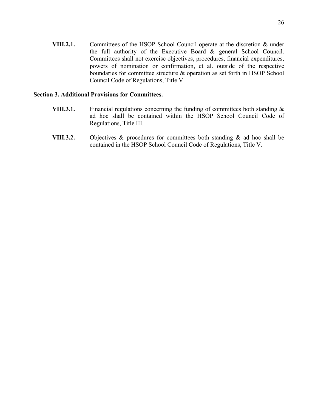- **VIII.2.1.** Committees of the HSOP School Council operate at the discretion & under the full authority of the Executive Board & general School Council. Committees shall not exercise objectives, procedures, financial expenditures,
	- powers of nomination or confirmation, et al. outside of the respective boundaries for committee structure & operation as set forth in HSOP School Council Code of Regulations, Title V.

# **Section 3. Additional Provisions for Committees.**

- **VIII.3.1.** Financial regulations concerning the funding of committees both standing  $\&$ ad hoc shall be contained within the HSOP School Council Code of Regulations, Title III.
- **VIII.3.2.** Objectives & procedures for committees both standing & ad hoc shall be contained in the HSOP School Council Code of Regulations, Title V.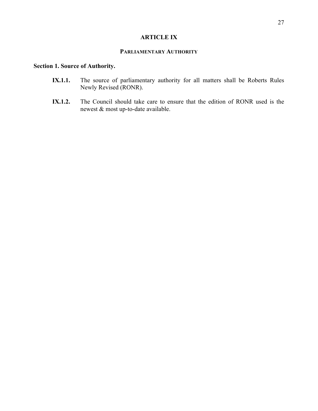# **ARTICLE IX**

# **PARLIAMENTARY AUTHORITY**

# **Section 1. Source of Authority.**

- **IX.1.1.** The source of parliamentary authority for all matters shall be Roberts Rules Newly Revised (RONR).
- **IX.1.2.** The Council should take care to ensure that the edition of RONR used is the newest & most up-to-date available.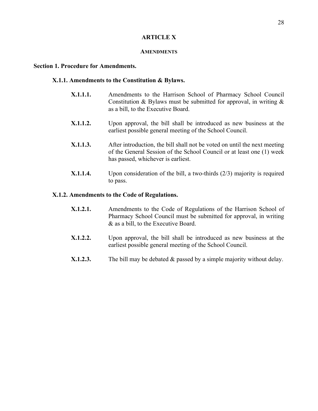# **ARTICLE X**

#### **AMENDMENTS**

#### **Section 1. Procedure for Amendments.**

#### **X.1.1. Amendments to the Constitution & Bylaws.**

- **X.1.1.1.** Amendments to the Harrison School of Pharmacy School Council Constitution & Bylaws must be submitted for approval, in writing  $\&$ as a bill, to the Executive Board.
- **X.1.1.2.** Upon approval, the bill shall be introduced as new business at the earliest possible general meeting of the School Council.
- **X.1.1.3.** After introduction, the bill shall not be voted on until the next meeting of the General Session of the School Council or at least one (1) week has passed, whichever is earliest.
- **X.1.1.4.** Upon consideration of the bill, a two-thirds (2/3) majority is required to pass.

#### **X.1.2. Amendments to the Code of Regulations.**

- **X.1.2.1.** Amendments to the Code of Regulations of the Harrison School of Pharmacy School Council must be submitted for approval, in writing & as a bill, to the Executive Board.
- **X.1.2.2.** Upon approval, the bill shall be introduced as new business at the earliest possible general meeting of the School Council.
- **X.1.2.3.** The bill may be debated & passed by a simple majority without delay.